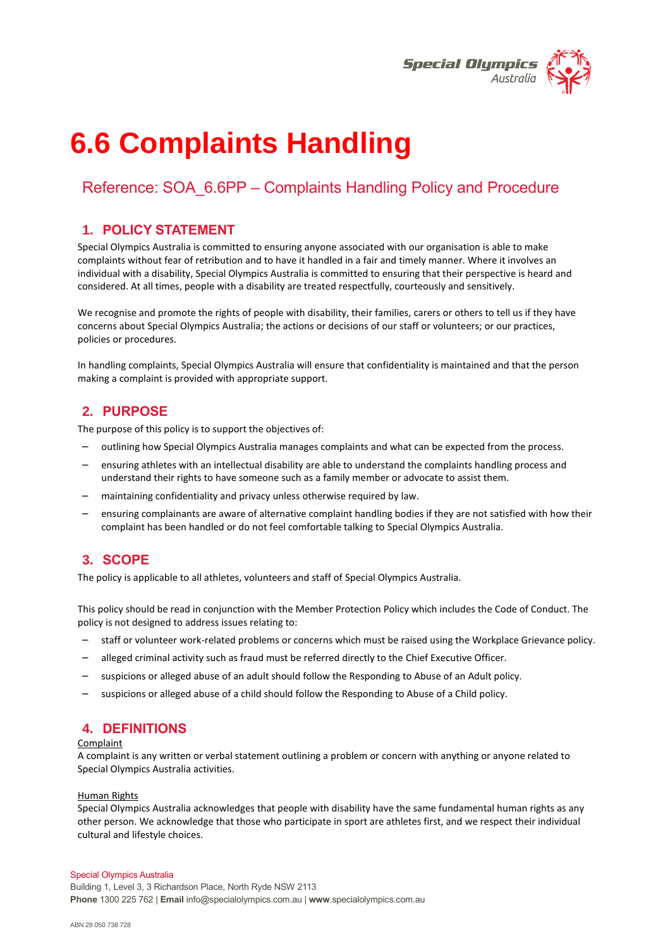

# **6.6 Complaints Handling**

# Reference: SOA\_6.6PP – Complaints Handling Policy and Procedure

## **1. POLICY STATEMENT**

Special Olympics Australia is committed to ensuring anyone associated with our organisation is able to make complaints without fear of retribution and to have it handled in a fair and timely manner. Where it involves an individual with a disability, Special Olympics Australia is committed to ensuring that their perspective is heard and considered. At all times, people with a disability are treated respectfully, courteously and sensitively.

We recognise and promote the rights of people with disability, their families, carers or others to tell us if they have concerns about Special Olympics Australia; the actions or decisions of our staff or volunteers; or our practices, policies or procedures.

In handling complaints, Special Olympics Australia will ensure that confidentiality is maintained and that the person making a complaint is provided with appropriate support.

## **2. PURPOSE**

The purpose of this policy is to support the objectives of:

- outlining how Special Olympics Australia manages complaints and what can be expected from the process.
- ensuring athletes with an intellectual disability are able to understand the complaints handling process and understand their rights to have someone such as a family member or advocate to assist them.
- maintaining confidentiality and privacy unless otherwise required by law.
- ensuring complainants are aware of alternative complaint handling bodies if they are not satisfied with how their complaint has been handled or do not feel comfortable talking to Special Olympics Australia.

## **3. SCOPE**

The policy is applicable to all athletes, volunteers and staff of Special Olympics Australia.

This policy should be read in conjunction with the Member Protection Policy which includes the Code of Conduct. The policy is not designed to address issues relating to:

- staff or volunteer work-related problems or concerns which must be raised using the Workplace Grievance policy.
- alleged criminal activity such as fraud must be referred directly to the Chief Executive Officer.
- suspicions or alleged abuse of an adult should follow the Responding to Abuse of an Adult policy.
- suspicions or alleged abuse of a child should follow the Responding to Abuse of a Child policy.

## **4. DEFINITIONS**

#### Complaint

A complaint is any written or verbal statement outlining a problem or concern with anything or anyone related to Special Olympics Australia activities.

#### Human Rights

Special Olympics Australia acknowledges that people with disability have the same fundamental human rights as any other person. We acknowledge that those who participate in sport are athletes first, and we respect their individual cultural and lifestyle choices.

#### Special Olympics Australia

Building 1, Level 3, 3 Richardson Place, North Ryde NSW 2113 **Phone** 1300 225 762 | **Email** info@specialolympics.com.au | **www**.specialolympics.com.au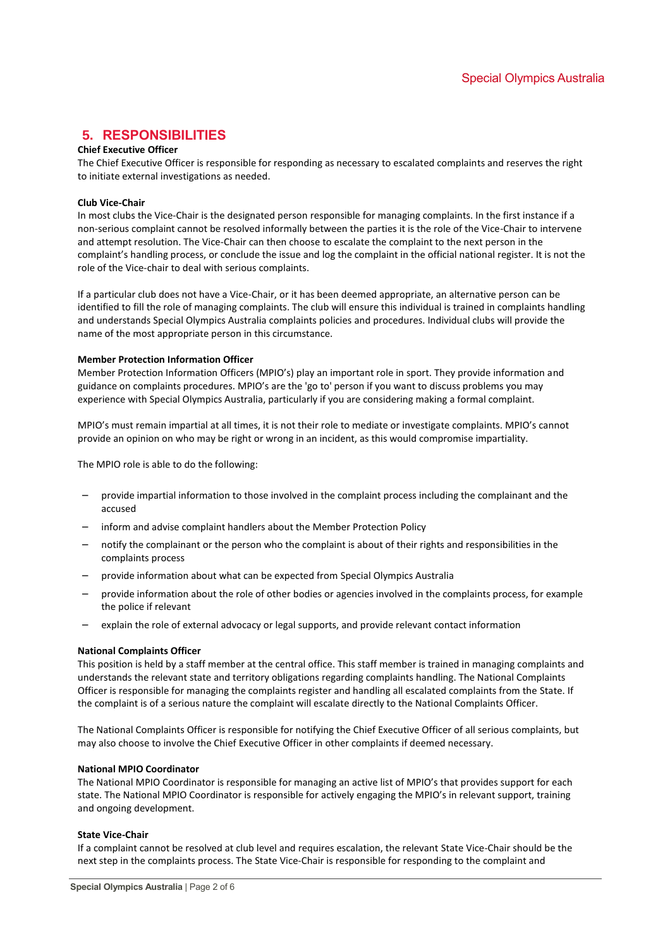# **5. RESPONSIBILITIES**

## **Chief Executive Officer**

The Chief Executive Officer is responsible for responding as necessary to escalated complaints and reserves the right to initiate external investigations as needed.

#### **Club Vice-Chair**

In most clubs the Vice-Chair is the designated person responsible for managing complaints. In the first instance if a non-serious complaint cannot be resolved informally between the parties it is the role of the Vice-Chair to intervene and attempt resolution. The Vice-Chair can then choose to escalate the complaint to the next person in the complaint's handling process, or conclude the issue and log the complaint in the official national register. It is not the role of the Vice-chair to deal with serious complaints.

If a particular club does not have a Vice-Chair, or it has been deemed appropriate, an alternative person can be identified to fill the role of managing complaints. The club will ensure this individual is trained in complaints handling and understands Special Olympics Australia complaints policies and procedures. Individual clubs will provide the name of the most appropriate person in this circumstance.

#### **Member Protection Information Officer**

Member Protection Information Officers (MPIO's) play an important role in sport. They provide information and guidance on complaints procedures. MPIO's are the 'go to' person if you want to discuss problems you may experience with Special Olympics Australia, particularly if you are considering making a formal complaint.

MPIO's must remain impartial at all times, it is not their role to mediate or investigate complaints. MPIO's cannot provide an opinion on who may be right or wrong in an incident, as this would compromise impartiality.

The MPIO role is able to do the following:

- provide impartial information to those involved in the complaint process including the complainant and the accused
- inform and advise complaint handlers about the Member Protection Policy
- notify the complainant or the person who the complaint is about of their rights and responsibilities in the complaints process
- provide information about what can be expected from Special Olympics Australia
- provide information about the role of other bodies or agencies involved in the complaints process, for example the police if relevant
- explain the role of external advocacy or legal supports, and provide relevant contact information

#### **National Complaints Officer**

This position is held by a staff member at the central office. This staff member is trained in managing complaints and understands the relevant state and territory obligations regarding complaints handling. The National Complaints Officer is responsible for managing the complaints register and handling all escalated complaints from the State. If the complaint is of a serious nature the complaint will escalate directly to the National Complaints Officer.

The National Complaints Officer is responsible for notifying the Chief Executive Officer of all serious complaints, but may also choose to involve the Chief Executive Officer in other complaints if deemed necessary.

#### **National MPIO Coordinator**

The National MPIO Coordinator is responsible for managing an active list of MPIO's that provides support for each state. The National MPIO Coordinator is responsible for actively engaging the MPIO's in relevant support, training and ongoing development.

#### **State Vice-Chair**

If a complaint cannot be resolved at club level and requires escalation, the relevant State Vice-Chair should be the next step in the complaints process. The State Vice-Chair is responsible for responding to the complaint and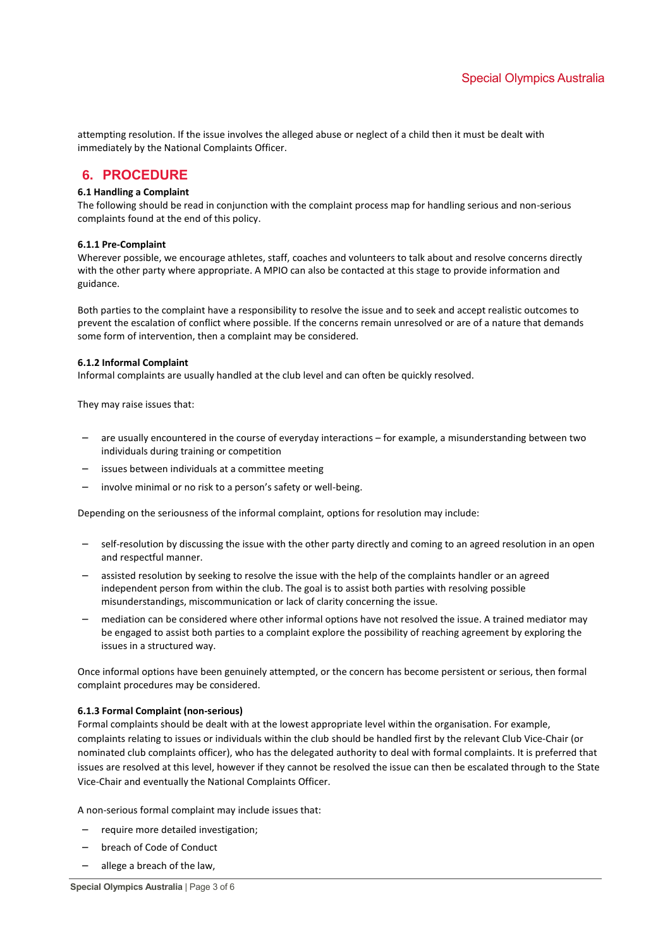attempting resolution. If the issue involves the alleged abuse or neglect of a child then it must be dealt with immediately by the National Complaints Officer.

## **6. PROCEDURE**

#### **6.1 Handling a Complaint**

The following should be read in conjunction with the complaint process map for handling serious and non-serious complaints found at the end of this policy.

#### **6.1.1 Pre-Complaint**

Wherever possible, we encourage athletes, staff, coaches and volunteers to talk about and resolve concerns directly with the other party where appropriate. A MPIO can also be contacted at this stage to provide information and guidance.

Both parties to the complaint have a responsibility to resolve the issue and to seek and accept realistic outcomes to prevent the escalation of conflict where possible. If the concerns remain unresolved or are of a nature that demands some form of intervention, then a complaint may be considered.

#### **6.1.2 Informal Complaint**

Informal complaints are usually handled at the club level and can often be quickly resolved.

They may raise issues that:

- are usually encountered in the course of everyday interactions for example, a misunderstanding between two individuals during training or competition
- issues between individuals at a committee meeting
- involve minimal or no risk to a person's safety or well-being.

Depending on the seriousness of the informal complaint, options for resolution may include:

- self-resolution by discussing the issue with the other party directly and coming to an agreed resolution in an open and respectful manner.
- assisted resolution by seeking to resolve the issue with the help of the complaints handler or an agreed independent person from within the club. The goal is to assist both parties with resolving possible misunderstandings, miscommunication or lack of clarity concerning the issue.
- mediation can be considered where other informal options have not resolved the issue. A trained mediator may be engaged to assist both parties to a complaint explore the possibility of reaching agreement by exploring the issues in a structured way.

Once informal options have been genuinely attempted, or the concern has become persistent or serious, then formal complaint procedures may be considered.

#### **6.1.3 Formal Complaint (non-serious)**

Formal complaints should be dealt with at the lowest appropriate level within the organisation. For example, complaints relating to issues or individuals within the club should be handled first by the relevant Club Vice-Chair (or nominated club complaints officer), who has the delegated authority to deal with formal complaints. It is preferred that issues are resolved at this level, however if they cannot be resolved the issue can then be escalated through to the State Vice-Chair and eventually the National Complaints Officer.

A non-serious formal complaint may include issues that:

- require more detailed investigation;
- breach of Code of Conduct
- allege a breach of the law,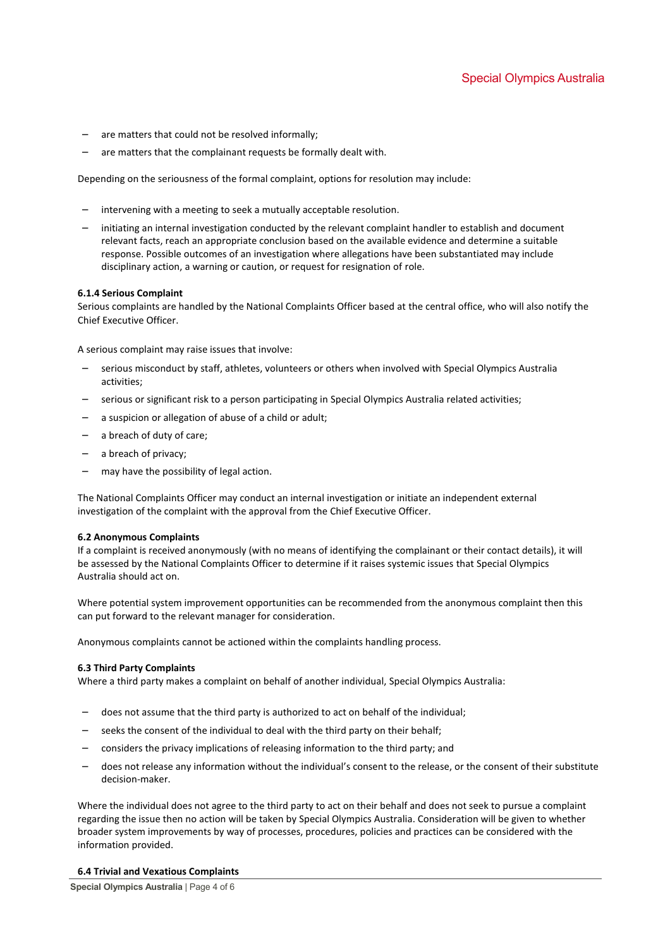- are matters that could not be resolved informally;
- are matters that the complainant requests be formally dealt with.

Depending on the seriousness of the formal complaint, options for resolution may include:

- intervening with a meeting to seek a mutually acceptable resolution.
- initiating an internal investigation conducted by the relevant complaint handler to establish and document relevant facts, reach an appropriate conclusion based on the available evidence and determine a suitable response. Possible outcomes of an investigation where allegations have been substantiated may include disciplinary action, a warning or caution, or request for resignation of role.

#### **6.1.4 Serious Complaint**

Serious complaints are handled by the National Complaints Officer based at the central office, who will also notify the Chief Executive Officer.

A serious complaint may raise issues that involve:

- serious misconduct by staff, athletes, volunteers or others when involved with Special Olympics Australia activities;
- serious or significant risk to a person participating in Special Olympics Australia related activities;
- a suspicion or allegation of abuse of a child or adult;
- a breach of duty of care;
- a breach of privacy;
- may have the possibility of legal action.

The National Complaints Officer may conduct an internal investigation or initiate an independent external investigation of the complaint with the approval from the Chief Executive Officer.

#### **6.2 Anonymous Complaints**

If a complaint is received anonymously (with no means of identifying the complainant or their contact details), it will be assessed by the National Complaints Officer to determine if it raises systemic issues that Special Olympics Australia should act on.

Where potential system improvement opportunities can be recommended from the anonymous complaint then this can put forward to the relevant manager for consideration.

Anonymous complaints cannot be actioned within the complaints handling process.

#### **6.3 Third Party Complaints**

Where a third party makes a complaint on behalf of another individual, Special Olympics Australia:

- does not assume that the third party is authorized to act on behalf of the individual;
- seeks the consent of the individual to deal with the third party on their behalf;
- considers the privacy implications of releasing information to the third party; and
- does not release any information without the individual's consent to the release, or the consent of their substitute decision-maker.

Where the individual does not agree to the third party to act on their behalf and does not seek to pursue a complaint regarding the issue then no action will be taken by Special Olympics Australia. Consideration will be given to whether broader system improvements by way of processes, procedures, policies and practices can be considered with the information provided.

#### **6.4 Trivial and Vexatious Complaints**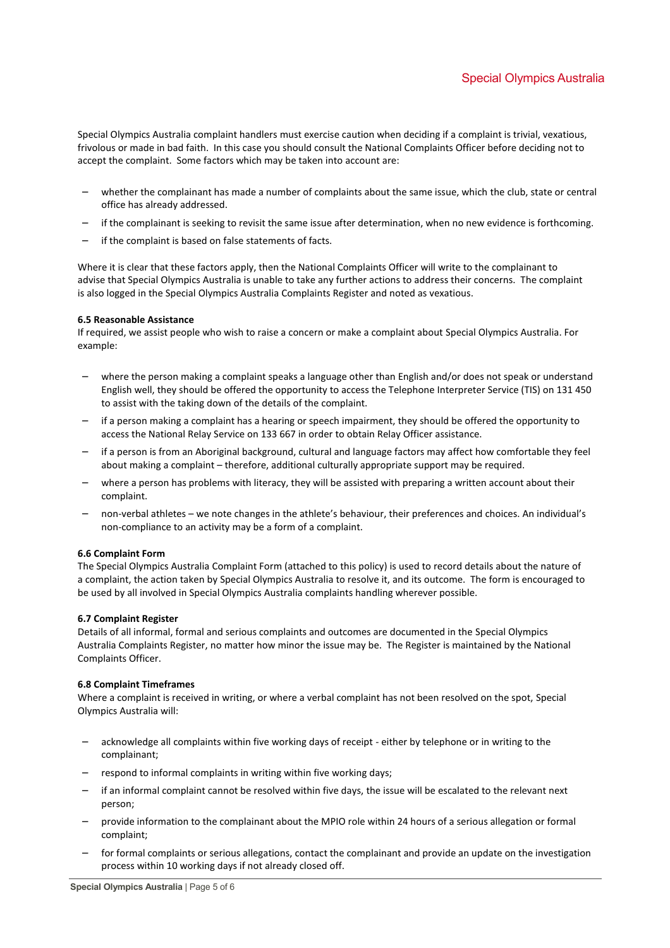Special Olympics Australia complaint handlers must exercise caution when deciding if a complaint is trivial, vexatious, frivolous or made in bad faith. In this case you should consult the National Complaints Officer before deciding not to accept the complaint. Some factors which may be taken into account are:

- whether the complainant has made a number of complaints about the same issue, which the club, state or central office has already addressed.
- if the complainant is seeking to revisit the same issue after determination, when no new evidence is forthcoming.
- if the complaint is based on false statements of facts.

Where it is clear that these factors apply, then the National Complaints Officer will write to the complainant to advise that Special Olympics Australia is unable to take any further actions to address their concerns. The complaint is also logged in the Special Olympics Australia Complaints Register and noted as vexatious.

#### **6.5 Reasonable Assistance**

If required, we assist people who wish to raise a concern or make a complaint about Special Olympics Australia. For example:

- where the person making a complaint speaks a language other than English and/or does not speak or understand English well, they should be offered the opportunity to access the Telephone Interpreter Service (TIS) on 131 450 to assist with the taking down of the details of the complaint.
- if a person making a complaint has a hearing or speech impairment, they should be offered the opportunity to access the National Relay Service on 133 667 in order to obtain Relay Officer assistance.
- if a person is from an Aboriginal background, cultural and language factors may affect how comfortable they feel about making a complaint – therefore, additional culturally appropriate support may be required.
- where a person has problems with literacy, they will be assisted with preparing a written account about their complaint.
- non-verbal athletes we note changes in the athlete's behaviour, their preferences and choices. An individual's non-compliance to an activity may be a form of a complaint.

#### **6.6 Complaint Form**

The Special Olympics Australia Complaint Form (attached to this policy) is used to record details about the nature of a complaint, the action taken by Special Olympics Australia to resolve it, and its outcome. The form is encouraged to be used by all involved in Special Olympics Australia complaints handling wherever possible.

#### **6.7 Complaint Register**

Details of all informal, formal and serious complaints and outcomes are documented in the Special Olympics Australia Complaints Register, no matter how minor the issue may be. The Register is maintained by the National Complaints Officer.

#### **6.8 Complaint Timeframes**

Where a complaint is received in writing, or where a verbal complaint has not been resolved on the spot, Special Olympics Australia will:

- acknowledge all complaints within five working days of receipt either by telephone or in writing to the complainant;
- respond to informal complaints in writing within five working days;
- if an informal complaint cannot be resolved within five days, the issue will be escalated to the relevant next person;
- provide information to the complainant about the MPIO role within 24 hours of a serious allegation or formal complaint;
- for formal complaints or serious allegations, contact the complainant and provide an update on the investigation process within 10 working days if not already closed off.